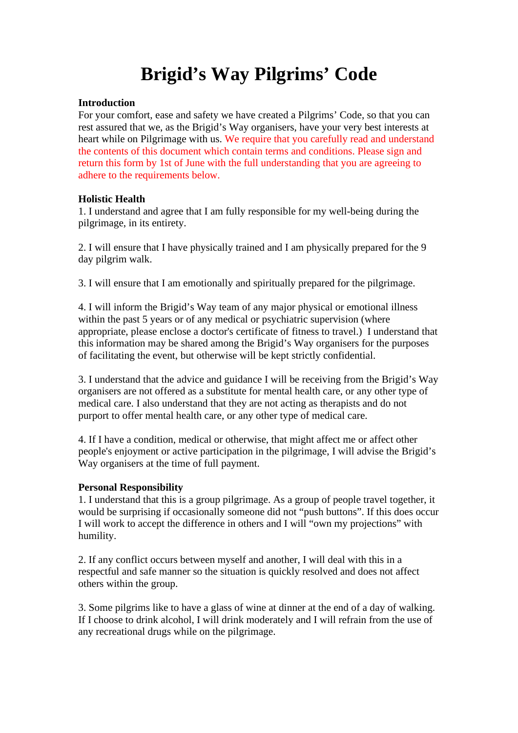# **Brigid's Way Pilgrims' Code**

## **Introduction**

For your comfort, ease and safety we have created a Pilgrims' Code, so that you can rest assured that we, as the Brigid's Way organisers, have your very best interests at heart while on Pilgrimage with us. We require that you carefully read and understand the contents of this document which contain terms and conditions. Please sign and return this form by 1st of June with the full understanding that you are agreeing to adhere to the requirements below.

# **Holistic Health**

1. I understand and agree that I am fully responsible for my well-being during the pilgrimage, in its entirety.

2. I will ensure that I have physically trained and I am physically prepared for the 9 day pilgrim walk.

3. I will ensure that I am emotionally and spiritually prepared for the pilgrimage.

4. I will inform the Brigid's Way team of any major physical or emotional illness within the past 5 years or of any medical or psychiatric supervision (where appropriate, please enclose a doctor's certificate of fitness to travel.) I understand that this information may be shared among the Brigid's Way organisers for the purposes of facilitating the event, but otherwise will be kept strictly confidential.

3. I understand that the advice and guidance I will be receiving from the Brigid's Way organisers are not offered as a substitute for mental health care, or any other type of medical care. I also understand that they are not acting as therapists and do not purport to offer mental health care, or any other type of medical care.

4. If I have a condition, medical or otherwise, that might affect me or affect other people's enjoyment or active participation in the pilgrimage, I will advise the Brigid's Way organisers at the time of full payment.

#### **Personal Responsibility**

1. I understand that this is a group pilgrimage. As a group of people travel together, it would be surprising if occasionally someone did not "push buttons". If this does occur I will work to accept the difference in others and I will "own my projections" with humility.

2. If any conflict occurs between myself and another, I will deal with this in a respectful and safe manner so the situation is quickly resolved and does not affect others within the group.

3. Some pilgrims like to have a glass of wine at dinner at the end of a day of walking. If I choose to drink alcohol, I will drink moderately and I will refrain from the use of any recreational drugs while on the pilgrimage.